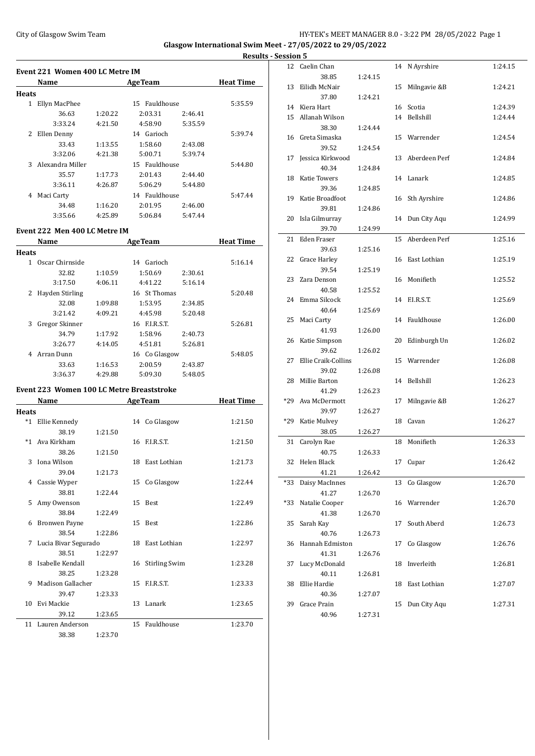### City of Glasgow Swim Team HY-TEK's MEET MANAGER 8.0 - 3:22 PM 28/05/2022 Page 1 **Glasgow International Swim Meet - 27/05/2022 to 29/05/2022**

**Results - Se** 

| Event 221 Women 400 LC Metre IM |                  |         |                  |         |                  |  |  |  |
|---------------------------------|------------------|---------|------------------|---------|------------------|--|--|--|
|                                 | Name             |         | <b>AgeTeam</b>   |         | <b>Heat Time</b> |  |  |  |
| Heats                           |                  |         |                  |         |                  |  |  |  |
| 1                               | Ellyn MacPhee    |         | Fauldhouse<br>15 |         | 5:35.59          |  |  |  |
|                                 | 36.63            | 1:20.22 | 2:03.31          | 2:46.41 |                  |  |  |  |
|                                 | 3:33.24          | 4:21.50 | 4:58.90          | 5:35.59 |                  |  |  |  |
| 2                               | Ellen Denny      |         | 14 Garioch       |         | 5:39.74          |  |  |  |
|                                 | 33.43            | 1:13.55 | 1:58.60          | 2:43.08 |                  |  |  |  |
|                                 | 3:32.06          | 4:21.38 | 5:00.71          | 5:39.74 |                  |  |  |  |
| 3                               | Alexandra Miller |         | 15 Fauldhouse    |         | 5:44.80          |  |  |  |
|                                 | 35.57            | 1:17.73 | 2:01.43          | 2:44.40 |                  |  |  |  |
|                                 | 3:36.11          | 4:26.87 | 5:06.29          | 5:44.80 |                  |  |  |  |
| 4                               | Maci Carty       |         | 14 Fauldhouse    |         | 5:47.44          |  |  |  |
|                                 | 34.48            | 1:16.20 | 2:01.95          | 2:46.00 |                  |  |  |  |
|                                 | 3:35.66          | 4:25.89 | 5:06.84          | 5:47.44 |                  |  |  |  |
|                                 |                  |         |                  |         |                  |  |  |  |

### **Event 222 Men 400 LC Metre IM**

|       | Name            | <b>AgeTeam</b> |               |         | <b>Heat Time</b> |
|-------|-----------------|----------------|---------------|---------|------------------|
| Heats |                 |                |               |         |                  |
| 1.    | Oscar Chirnside |                | Garioch<br>14 |         | 5:16.14          |
|       | 32.82           | 1:10.59        | 1:50.69       | 2:30.61 |                  |
|       | 3:17.50         | 4:06.11        | 4:41.22       | 5:16.14 |                  |
| 2     | Hayden Stirling |                | 16 St Thomas  |         | 5:20.48          |
|       | 32.08           | 1:09.88        | 1:53.95       | 2:34.85 |                  |
|       | 3:21.42         | 4:09.21        | 4:45.98       | 5:20.48 |                  |
| 3     | Gregor Skinner  |                | 16 F.I.R.S.T. |         | 5:26.81          |
|       | 34.79           | 1:17.92        | 1:58.96       | 2:40.73 |                  |
|       | 3:26.77         | 4:14.05        | 4:51.81       | 5:26.81 |                  |
| 4     | Arran Dunn      |                | 16 Co Glasgow |         | 5:48.05          |
|       | 33.63           | 1:16.53        | 2:00.59       | 2:43.87 |                  |
|       | 3:36.37         | 4:29.88        | 5:09.30       | 5:48.05 |                  |

#### **Event 223 Women 100 LC Metre Breaststroke**

|       | Name                 |         |    | <b>AgeTeam</b>   | <b>Heat Time</b> |
|-------|----------------------|---------|----|------------------|------------------|
| Heats |                      |         |    |                  |                  |
| *1    | Ellie Kennedy        |         |    | 14 Co Glasgow    | 1:21.50          |
|       | 38.19                | 1:21.50 |    |                  |                  |
| $*1$  | Ava Kirkham          |         |    | 16 F.I.R.S.T.    | 1:21.50          |
|       | 38.26                | 1:21.50 |    |                  |                  |
| 3     | Iona Wilson          |         |    | 18 East Lothian  | 1:21.73          |
|       | 39.04                | 1:21.73 |    |                  |                  |
| 4     | Cassie Wyper         |         | 15 | Co Glasgow       | 1:22.44          |
|       | 38.81                | 1:22.44 |    |                  |                  |
| 5     | Amy Owenson          |         |    | 15 Best          | 1:22.49          |
|       | 38.84                | 1:22.49 |    |                  |                  |
| 6     | <b>Bronwen Payne</b> |         |    | 15 Best          | 1:22.86          |
|       | 38.54                | 1:22.86 |    |                  |                  |
| 7     | Lucia Bivar Segurado |         |    | 18 East Lothian  | 1:22.97          |
|       | 38.51                | 1:22.97 |    |                  |                  |
| 8     | Isabelle Kendall     |         |    | 16 Stirling Swim | 1:23.28          |
|       | 38.25                | 1:23.28 |    |                  |                  |
| 9     | Madison Gallacher    |         |    | 15 F.I.R.S.T.    | 1:23.33          |
|       | 39.47                | 1:23.33 |    |                  |                  |
| 10    | Evi Mackie           |         |    | 13 Lanark        | 1:23.65          |
|       | 39.12                | 1:23.65 |    |                  |                  |
|       | 11 Lauren Anderson   |         |    | 15 Fauldhouse    | 1:23.70          |
|       |                      |         |    |                  |                  |

38.38 1:23.70

| <u>Session 5</u> |                         |         |    |                  |         |
|------------------|-------------------------|---------|----|------------------|---------|
|                  | 12 Caelin Chan          |         | 14 | N Ayrshire       | 1:24.15 |
|                  | 38.85                   | 1:24.15 |    |                  |         |
| 13               | Eilidh McNair           |         | 15 | Milngavie &B     | 1:24.21 |
|                  | 37.80                   | 1:24.21 |    |                  |         |
|                  | 14 Kiera Hart           |         |    | 16 Scotia        | 1:24.39 |
|                  | 15 Allanah Wilson       |         |    | 14 Bellshill     | 1:24.44 |
|                  | 38.30                   | 1:24.44 |    |                  |         |
|                  | 16 Greta Simaska        |         | 15 | Warrender        | 1:24.54 |
|                  | 39.52                   | 1:24.54 |    |                  |         |
| 17               | Jessica Kirkwood        |         |    | 13 Aberdeen Perf | 1:24.84 |
|                  | 40.34                   | 1:24.84 |    |                  |         |
| 18               | Katie Towers            |         |    | 14 Lanark        | 1:24.85 |
|                  | 39.36                   | 1:24.85 |    |                  |         |
|                  | 19 Katie Broadfoot      |         |    | 16 Sth Ayrshire  | 1:24.86 |
|                  | 39.81                   | 1:24.86 |    |                  |         |
|                  | 20 Isla Gilmurray       |         | 14 | Dun City Aqu     | 1:24.99 |
|                  | 39.70                   | 1:24.99 |    |                  |         |
| 21               | Eden Fraser             |         | 15 | Aberdeen Perf    | 1:25.16 |
|                  | 39.63                   | 1:25.16 |    |                  |         |
| 22               | Grace Harley            |         |    | 16 East Lothian  | 1:25.19 |
|                  | 39.54                   | 1:25.19 |    |                  |         |
|                  | 23 Zara Denson          |         | 16 | Monifieth        | 1:25.52 |
|                  | 40.58                   | 1:25.52 |    |                  |         |
|                  | 24 Emma Silcock         |         | 14 | F.I.R.S.T.       | 1:25.69 |
|                  | 40.64                   | 1:25.69 |    |                  |         |
| 25               | Maci Carty              |         | 14 | Fauldhouse       | 1:26.00 |
|                  | 41.93                   | 1:26.00 |    |                  |         |
|                  | 26 Katie Simpson        |         | 20 | Edinburgh Un     | 1:26.02 |
|                  | 39.62                   | 1:26.02 |    |                  |         |
| 27               | Ellie Craik-Collins     |         |    | 15 Warrender     | 1:26.08 |
|                  | 39.02                   | 1:26.08 |    |                  |         |
| 28               | Millie Barton           |         | 14 | Bellshill        | 1:26.23 |
|                  | 41.29                   | 1:26.23 |    |                  |         |
|                  | *29 Ava McDermott       |         | 17 | Milngavie &B     | 1:26.27 |
|                  | 39.97                   | 1:26.27 |    |                  |         |
|                  | *29 Katie Mulvey        |         | 18 | Cavan            | 1:26.27 |
|                  | 38.05                   | 1:26.27 |    |                  |         |
| 31               | Carolyn Rae             |         | 18 | Monifieth        | 1:26.33 |
|                  | 40.75<br>Helen Black    | 1:26.33 |    | Cupar            | 1:26.42 |
| 32               | 41.21                   |         | 17 |                  |         |
|                  |                         | 1:26.42 |    | Co Glasgow       |         |
| *33              | Daisy MacInnes<br>41.27 |         | 13 |                  | 1:26.70 |
|                  | Natalie Cooper          | 1:26.70 | 16 | Warrender        | 1:26.70 |
| *33              | 41.38                   | 1:26.70 |    |                  |         |
| 35               | Sarah Kay               |         | 17 | South Aberd      | 1:26.73 |
|                  | 40.76                   | 1:26.73 |    |                  |         |
| 36               | Hannah Edmiston         |         | 17 | Co Glasgow       | 1:26.76 |
|                  | 41.31                   | 1:26.76 |    |                  |         |
| 37               | Lucy McDonald           |         | 18 | Inverleith       | 1:26.81 |
|                  | 40.11                   | 1:26.81 |    |                  |         |
| 38               | Ellie Hardie            |         | 18 | East Lothian     | 1:27.07 |
|                  | 40.36                   | 1:27.07 |    |                  |         |
| 39               | Grace Prain             |         | 15 | Dun City Aqu     | 1:27.31 |
|                  | 40.96                   | 1:27.31 |    |                  |         |
|                  |                         |         |    |                  |         |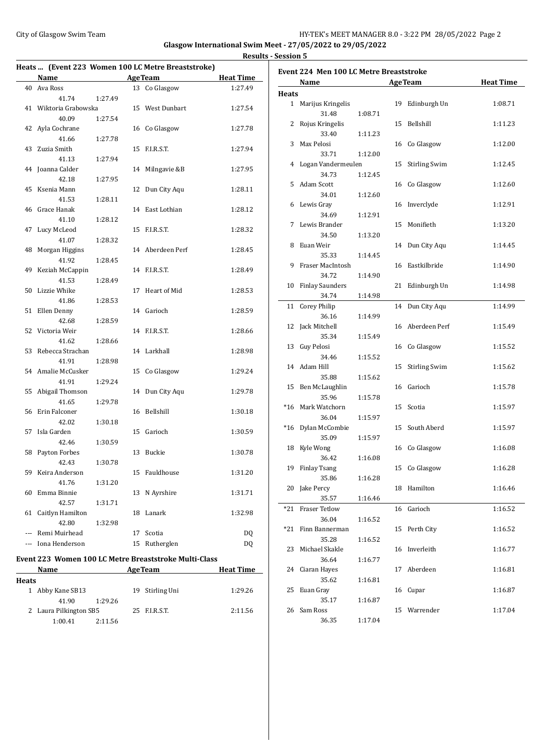**Results - Session 5**

|  | Heats  (Event 223 Women 100 LC Metre Breaststroke) |  |
|--|----------------------------------------------------|--|
|  |                                                    |  |

#### **Event 224 Men 100 LC Metre Breaststroke**

|              | <b>Name</b>           |         |    | <b>AgeTeam</b>                                        | <b>Heat Time</b> |
|--------------|-----------------------|---------|----|-------------------------------------------------------|------------------|
|              | 40 Ava Ross           |         |    | 13 Co Glasgow                                         | 1:27.49          |
|              | 41.74                 | 1:27.49 |    |                                                       |                  |
|              | 41 Wiktoria Grabowska |         |    | 15 West Dunbart                                       | 1:27.54          |
|              | 40.09                 | 1:27.54 |    |                                                       |                  |
|              | 42 Ayla Cochrane      |         |    | 16 Co Glasgow                                         | 1:27.78          |
|              | 41.66                 | 1:27.78 |    |                                                       |                  |
| 43           | Zuzia Smith           |         | 15 | F.I.R.S.T.                                            | 1:27.94          |
|              | 41.13                 | 1:27.94 |    |                                                       |                  |
| 44           | Joanna Calder         |         | 14 | Milngavie &B                                          | 1:27.95          |
|              | 42.18                 | 1:27.95 |    |                                                       |                  |
|              | 45 Ksenia Mann        |         | 12 | Dun City Aqu                                          | 1:28.11          |
|              | 41.53                 | 1:28.11 |    |                                                       |                  |
|              | 46 Grace Hanak        |         |    | 14 East Lothian                                       | 1:28.12          |
|              | 41.10                 | 1:28.12 |    |                                                       |                  |
| 47           | Lucy McLeod           |         | 15 | F.I.R.S.T.                                            | 1:28.32          |
|              | 41.07                 | 1:28.32 |    |                                                       |                  |
| 48           | Morgan Higgins        |         |    | 14 Aberdeen Perf                                      | 1:28.45          |
|              | 41.92                 | 1:28.45 |    |                                                       |                  |
| 49           | Keziah McCappin       |         | 14 | F.I.R.S.T.                                            | 1:28.49          |
|              | 41.53                 | 1:28.49 |    |                                                       |                  |
| 50           | Lizzie Whike          |         | 17 | Heart of Mid                                          | 1:28.53          |
|              | 41.86                 | 1:28.53 |    |                                                       |                  |
| 51           | Ellen Denny           |         | 14 | Garioch                                               | 1:28.59          |
|              | 42.68                 | 1:28.59 |    |                                                       |                  |
|              | 52 Victoria Weir      |         | 14 | F.I.R.S.T.                                            | 1:28.66          |
|              | 41.62                 | 1:28.66 |    |                                                       |                  |
|              | 53 Rebecca Strachan   |         | 14 | Larkhall                                              | 1:28.98          |
|              | 41.91                 | 1:28.98 |    |                                                       |                  |
|              | 54 Amalie McCusker    |         | 15 | Co Glasgow                                            | 1:29.24          |
|              | 41.91                 | 1:29.24 |    |                                                       |                  |
| 55           | Abigail Thomson       |         | 14 | Dun City Aqu                                          | 1:29.78          |
|              | 41.65                 | 1:29.78 |    |                                                       |                  |
| 56           | Erin Falconer         |         |    | 16 Bellshill                                          | 1:30.18          |
|              | 42.02                 | 1:30.18 |    |                                                       |                  |
| 57           | Isla Garden           |         | 15 | Garioch                                               | 1:30.59          |
|              | 42.46                 | 1:30.59 |    |                                                       |                  |
| 58           | Payton Forbes         |         | 13 | Buckie                                                | 1:30.78          |
|              | 42.43                 | 1:30.78 |    |                                                       |                  |
| 59           | Keira Anderson        |         | 15 | Fauldhouse                                            | 1:31.20          |
|              | 41.76                 | 1:31.20 |    |                                                       |                  |
|              | 60 Emma Binnie        |         |    | 13 N Ayrshire                                         | 1:31.71          |
|              | 42.57                 | 1:31.71 |    |                                                       |                  |
|              | 61 Caitlyn Hamilton   |         |    | 18 Lanark                                             | 1:32.98          |
|              | 42.80                 | 1:32.98 |    |                                                       |                  |
|              | --- Remi Muirhead     |         | 17 | Scotia                                                | DQ               |
|              | --- Iona Henderson    |         |    | 15 Rutherglen                                         | DQ               |
|              |                       |         |    | Event 223 Women 100 LC Metre Breaststroke Multi-Class |                  |
|              | Name                  |         |    | <b>AgeTeam</b>                                        | <b>Heat Time</b> |
| <b>Heats</b> |                       |         |    |                                                       |                  |
|              | 1 Abby Kane SB13      |         | 19 | Stirling Uni                                          | 1:29.26          |
|              | 41.90                 | 1:29.26 |    |                                                       |                  |
|              |                       |         |    |                                                       |                  |

2 Laura Pilkington SB5 25 F.I.R.S.T. 2:11.56

1:00.41 2:11.56

|              | Name                    |         |    | <b>AgeTeam</b>       | <b>Heat Time</b> |
|--------------|-------------------------|---------|----|----------------------|------------------|
| <b>Heats</b> |                         |         |    |                      |                  |
|              | 1 Marijus Kringelis     |         | 19 | Edinburgh Un         | 1:08.71          |
|              | 31.48                   | 1:08.71 |    |                      |                  |
| 2            | Rojus Kringelis         |         | 15 | Bellshill            | 1:11.23          |
|              | 33.40                   | 1:11.23 |    |                      |                  |
| 3            | Max Pelosi              |         | 16 | Co Glasgow           | 1:12.00          |
|              | 33.71                   | 1:12.00 |    |                      |                  |
| 4            | Logan Vandermeulen      |         | 15 | <b>Stirling Swim</b> | 1:12.45          |
|              | 34.73                   | 1:12.45 |    |                      |                  |
| 5            | <b>Adam Scott</b>       |         | 16 | Co Glasgow           | 1:12.60          |
|              | 34.01                   | 1:12.60 |    |                      |                  |
| 6            | Lewis Gray              |         | 16 | Inverclyde           | 1:12.91          |
|              | 34.69                   | 1:12.91 |    |                      |                  |
| 7            | Lewis Brander           |         | 15 | Monifieth            | 1:13.20          |
|              | 34.50                   | 1:13.20 |    |                      |                  |
| 8            | Euan Weir               |         |    | 14 Dun City Aqu      | 1:14.45          |
|              | 35.33                   | 1:14.45 |    |                      |                  |
| 9            | Fraser MacIntosh        |         | 16 | Eastkilbride         | 1:14.90          |
|              | 34.72                   | 1:14.90 |    |                      |                  |
| 10           | <b>Finlay Saunders</b>  |         | 21 | Edinburgh Un         | 1:14.98          |
|              | 34.74                   | 1:14.98 |    |                      |                  |
| 11           | <b>Corey Philip</b>     |         | 14 | Dun City Aqu         | 1:14.99          |
|              | 36.16                   | 1:14.99 |    |                      |                  |
| 12           | Jack Mitchell           |         |    | 16 Aberdeen Perf     | 1:15.49          |
|              | 35.34                   | 1:15.49 |    |                      |                  |
| 13           | Guy Pelosi              |         | 16 | Co Glasgow           | 1:15.52          |
|              | 34.46                   | 1:15.52 |    |                      |                  |
| 14           | Adam Hill               |         | 15 | <b>Stirling Swim</b> | 1:15.62          |
|              | 35.88                   | 1:15.62 |    |                      |                  |
| 15           | Ben McLaughlin          |         | 16 | Garioch              | 1:15.78          |
|              | 35.96                   | 1:15.78 |    |                      |                  |
| $*16$        | Mark Watchorn           |         | 15 | Scotia               | 1:15.97          |
|              | 36.04                   | 1:15.97 |    | South Aberd          |                  |
| $*16$        | Dylan McCombie<br>35.09 | 1:15.97 | 15 |                      | 1:15.97          |
|              | Kyle Wong               |         |    | 16 Co Glasgow        | 1:16.08          |
| 18           | 36.42                   | 1:16.08 |    |                      |                  |
| 19           | <b>Finlay Tsang</b>     |         | 15 | Co Glasgow           | 1:16.28          |
|              | 35.86                   | 1:16.28 |    |                      |                  |
| 20           | Jake Percy              |         |    | 18 Hamilton          | 1:16.46          |
|              | 35.57                   | 1:16.46 |    |                      |                  |
| $*21$        | <b>Fraser Tetlow</b>    |         | 16 | Garioch              | 1:16.52          |
|              | 36.04                   | 1:16.52 |    |                      |                  |
| *21          | Finn Bannerman          |         | 15 | Perth City           | 1:16.52          |
|              | 35.28                   | 1:16.52 |    |                      |                  |
| 23           | Michael Skakle          |         | 16 | Inverleith           | 1:16.77          |
|              | 36.64                   | 1:16.77 |    |                      |                  |
| 24           | Ciaran Hayes            |         | 17 | Aberdeen             | 1:16.81          |
|              | 35.62                   | 1:16.81 |    |                      |                  |
| 25           | Euan Gray               |         | 16 | Cupar                | 1:16.87          |
|              | 35.17                   | 1:16.87 |    |                      |                  |
| 26           | Sam Ross                |         | 15 | Warrender            | 1:17.04          |
|              | 36.35                   | 1:17.04 |    |                      |                  |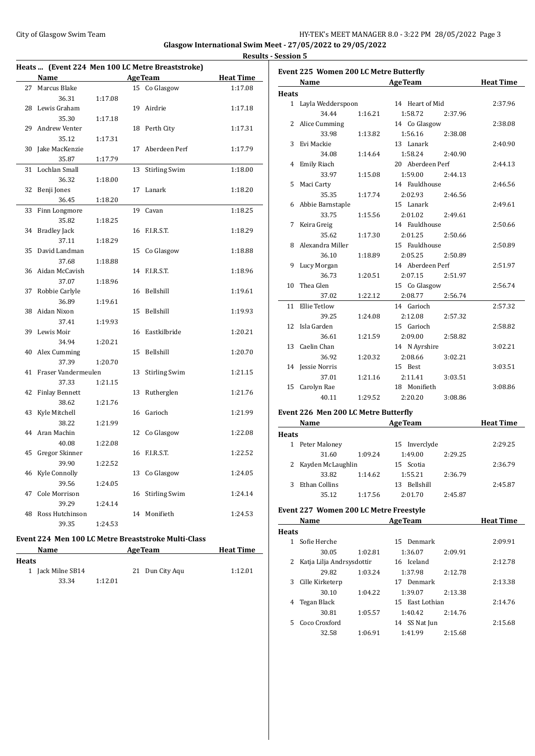**Results - Session 5**

|    |                                            |         |    | Heats  (Event 224 Men 100 LC Metre Breaststroke)    |                  |  |  |
|----|--------------------------------------------|---------|----|-----------------------------------------------------|------------------|--|--|
|    | <b>Name</b>                                |         |    | <b>AgeTeam</b>                                      | <b>Heat Time</b> |  |  |
| 27 | Marcus Blake                               |         |    | 15 Co Glasgow                                       | 1:17.08          |  |  |
|    | 36.31                                      | 1:17.08 |    |                                                     |                  |  |  |
| 28 | Lewis Graham                               |         | 19 | Airdrie                                             | 1:17.18          |  |  |
|    | 35.30                                      | 1:17.18 |    |                                                     |                  |  |  |
| 29 | Andrew Venter                              |         | 18 | Perth City                                          | 1:17.31          |  |  |
|    | 35.12                                      | 1:17.31 |    |                                                     |                  |  |  |
| 30 | Jake MacKenzie                             |         | 17 | Aberdeen Perf                                       | 1:17.79          |  |  |
|    | 35.87                                      | 1:17.79 |    |                                                     |                  |  |  |
| 31 | <b>Lochlan Small</b>                       |         | 13 | <b>Stirling Swim</b>                                | 1:18.00          |  |  |
|    | 36.32                                      | 1:18.00 |    |                                                     |                  |  |  |
| 32 | Benji Jones                                |         | 17 | Lanark                                              | 1:18.20          |  |  |
|    | 36.45                                      | 1:18.20 |    |                                                     |                  |  |  |
| 33 | Finn Longmore                              |         | 19 | Cavan                                               | 1:18.25          |  |  |
|    | 35.82                                      | 1:18.25 |    |                                                     |                  |  |  |
| 34 | <b>Bradley Jack</b>                        |         | 16 | F.I.R.S.T.                                          | 1:18.29          |  |  |
|    | 37.11                                      | 1:18.29 |    |                                                     |                  |  |  |
| 35 | David Landman                              |         | 15 | Co Glasgow                                          | 1:18.88          |  |  |
|    | 37.68                                      | 1:18.88 |    |                                                     |                  |  |  |
| 36 | Aidan McCavish                             |         | 14 | F.I.R.S.T.                                          | 1:18.96          |  |  |
|    | 37.07                                      | 1:18.96 |    |                                                     |                  |  |  |
| 37 | Robbie Carlyle                             |         | 16 | Bellshill                                           | 1:19.61          |  |  |
|    | 36.89                                      | 1:19.61 |    |                                                     |                  |  |  |
| 38 | Aidan Nixon                                |         | 15 | Bellshill                                           | 1:19.93          |  |  |
|    | 37.41                                      | 1:19.93 |    |                                                     |                  |  |  |
| 39 | Lewis Moir                                 |         | 16 | Eastkilbride                                        | 1:20.21          |  |  |
|    | 34.94                                      | 1:20.21 |    |                                                     |                  |  |  |
| 40 | Alex Cumming                               |         | 15 | Bellshill                                           | 1:20.70          |  |  |
|    | 37.39                                      | 1:20.70 |    |                                                     |                  |  |  |
| 41 | Fraser Vandermeulen                        |         | 13 | <b>Stirling Swim</b>                                | 1:21.15          |  |  |
|    | 37.33                                      | 1:21.15 |    |                                                     |                  |  |  |
| 42 | <b>Finlay Bennett</b>                      |         | 13 | Rutherglen                                          | 1:21.76          |  |  |
|    | 38.62                                      | 1:21.76 |    |                                                     |                  |  |  |
| 43 | Kyle Mitchell                              |         | 16 | Garioch                                             | 1:21.99          |  |  |
|    | 38.22                                      | 1:21.99 |    |                                                     |                  |  |  |
| 44 | Aran Machin                                |         | 12 | Co Glasgow                                          | 1:22.08          |  |  |
|    | 40.08                                      | 1:22.08 |    |                                                     |                  |  |  |
| 45 | Gregor Skinner                             |         | 16 | F.I.R.S.T.                                          | 1:22.52          |  |  |
|    | 39.90                                      | 1:22.52 |    |                                                     |                  |  |  |
| 46 | Kyle Connolly                              |         |    | 13 Co Glasgow                                       | 1:24.05          |  |  |
|    | 39.56                                      | 1:24.05 |    |                                                     |                  |  |  |
| 47 | Cole Morrison                              |         | 16 | <b>Stirling Swim</b>                                | 1:24.14          |  |  |
|    | 39.29                                      | 1:24.14 |    |                                                     |                  |  |  |
| 48 | Ross Hutchinson                            |         |    | 14 Monifieth                                        | 1:24.53          |  |  |
|    | 39.35                                      | 1:24.53 |    |                                                     |                  |  |  |
|    |                                            |         |    | Event 224 Men 100 LC Metre Breaststroke Multi-Class |                  |  |  |
|    | <b>AgeTeam</b><br><b>Heat Time</b><br>Name |         |    |                                                     |                  |  |  |

| . .<br>×<br>۰,<br>×<br>۰.<br>× |
|--------------------------------|
|--------------------------------|

| ıts |                   |         |                 |         |
|-----|-------------------|---------|-----------------|---------|
|     | 1 Jack Milne SB14 |         | 21 Dun City Aqu | 1:12.01 |
|     | 33.34             | 1:12.01 |                 |         |

|                 | Name                |         | <b>AgeTeam</b>     | <b>Heat Time</b> |
|-----------------|---------------------|---------|--------------------|------------------|
| <b>Heats</b>    |                     |         |                    |                  |
|                 | 1 Layla Wedderspoon |         | 14 Heart of Mid    | 2:37.96          |
|                 | 34.44               | 1:16.21 | 1:58.72<br>2:37.96 |                  |
| 2               | Alice Cumming       |         | 14 Co Glasgow      | 2:38.08          |
|                 | 33.98               | 1:13.82 | 1:56.16<br>2:38.08 |                  |
| 3               | Evi Mackie          |         | 13 Lanark          | 2:40.90          |
|                 | 34.08               | 1:14.64 | 1:58.24<br>2:40.90 |                  |
| 4               | <b>Emily Riach</b>  |         | 20 Aberdeen Perf   | 2:44.13          |
|                 | 33.97               | 1:15.08 | 1:59.00<br>2:44.13 |                  |
| 5               | Maci Carty          |         | 14 Fauldhouse      | 2:46.56          |
|                 | 35.35               | 1:17.74 | 2:02.93<br>2:46.56 |                  |
|                 | 6 Abbie Barnstaple  |         | 15 Lanark          | 2:49.61          |
|                 | 33.75               | 1:15.56 | 2:01.02<br>2:49.61 |                  |
| 7               | Keira Greig         |         | 14 Fauldhouse      | 2:50.66          |
|                 | 35.62               | 1:17.30 | 2:01.25<br>2:50.66 |                  |
| 8               | Alexandra Miller    |         | 15 Fauldhouse      | 2:50.89          |
|                 | 36.10               | 1:18.89 | 2:05.25<br>2:50.89 |                  |
| 9               | Lucy Morgan         |         | 14 Aberdeen Perf   | 2:51.97          |
|                 | 36.73               | 1:20.51 | 2:07.15<br>2:51.97 |                  |
| 10 <sup>1</sup> | Thea Glen           |         | 15 Co Glasgow      | 2:56.74          |
|                 | 37.02               | 1:22.12 | 2:08.77<br>2:56.74 |                  |
| 11              | Ellie Tetlow        |         | 14 Garioch         | 2:57.32          |
|                 | 39.25               | 1:24.08 | 2:12.08<br>2:57.32 |                  |
|                 | 12 Isla Garden      |         | 15 Garioch         | 2:58.82          |
|                 | 36.61               | 1:21.59 | 2:09.00<br>2:58.82 |                  |
|                 | 13 Caelin Chan      |         | 14 N Ayrshire      | 3:02.21          |
|                 | 36.92               | 1:20.32 | 2:08.66<br>3:02.21 |                  |
|                 | 14 Jessie Norris    |         | 15 Best            | 3:03.51          |
|                 | 37.01               | 1:21.16 | 2:11.41<br>3:03.51 |                  |
|                 | 15 Carolyn Rae      |         | 18 Monifieth       | 3:08.86          |
|                 | 40.11               | 1:29.52 | 2:20.20<br>3:08.86 |                  |

# **Event 226 Men 200 LC Metre Butterfly**

|              | Name                |         | <b>AgeTeam</b>         |         | <b>Heat Time</b> |  |  |  |  |
|--------------|---------------------|---------|------------------------|---------|------------------|--|--|--|--|
| <b>Heats</b> |                     |         |                        |         |                  |  |  |  |  |
|              | 1 Peter Maloney     |         | 15 Inverclyde          |         | 2:29.25          |  |  |  |  |
|              | 31.60               | 1:09.24 | 1:49.00                | 2:29.25 |                  |  |  |  |  |
|              | 2 Kayden McLaughlin |         | 15 Scotia              |         | 2:36.79          |  |  |  |  |
|              | 33.82               | 1:14.62 | 1:55.21                | 2:36.79 |                  |  |  |  |  |
| 3            | Ethan Collins       |         | <b>Bellshill</b><br>13 |         | 2:45.87          |  |  |  |  |
|              | 35.12               | 1:17.56 | 2:01.70                | 2:45.87 |                  |  |  |  |  |

### **Event 227 Women 200 LC Metre Freestyle**

| Name         |                           |         | <b>AgeTeam</b>  | <b>Heat Time</b> |         |
|--------------|---------------------------|---------|-----------------|------------------|---------|
| <b>Heats</b> |                           |         |                 |                  |         |
|              | Sofie Herche              |         | 15 Denmark      | 2:09.91          |         |
|              | 30.05                     | 1:02.81 | 1:36.07         | 2:09.91          |         |
| 2            | Katja Lilja Andrsysdottir |         | 16 Iceland      |                  | 2:12.78 |
|              | 29.82                     | 1:03.24 | 1:37.98         | 2:12.78          |         |
| 3            | Cille Kirketerp           |         | 17 Denmark      |                  | 2:13.38 |
|              | 30.10                     | 1:04.22 | 1:39.07         | 2:13.38          |         |
| 4            | Tegan Black               |         | 15 East Lothian |                  | 2:14.76 |
|              | 30.81                     | 1:05.57 | 1:40.42         | 2:14.76          |         |
| 5.           | Coco Croxford             |         | 14 SS Nat Jun   |                  | 2:15.68 |
|              | 32.58                     | 1:06.91 | 1:41.99         | 2:15.68          |         |
|              |                           |         |                 |                  |         |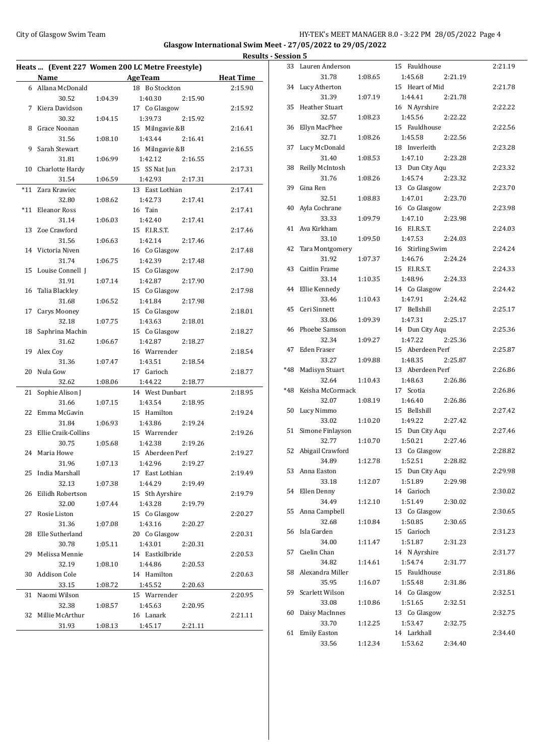|       |                     |         | Heats  (Event 227 Women 200 LC Metre Freestyle) |                  |
|-------|---------------------|---------|-------------------------------------------------|------------------|
|       | Name                |         | <b>Example 2</b> Age Team                       | <b>Heat Time</b> |
|       | 6 Allana McDonald   |         | 18 Bo Stockton                                  | 2:15.90          |
|       | 30.52               | 1:04.39 | 1:40.30<br>2:15.90                              |                  |
| 7     | Kiera Davidson      |         | 17 Co Glasgow                                   | 2:15.92          |
|       | 30.32               | 1:04.15 | 1:39.73<br>2:15.92                              |                  |
| 8     | Grace Noonan        |         | 15 Milngavie &B                                 | 2:16.41          |
|       | 31.56               | 1:08.10 | 1:43.44<br>2:16.41                              |                  |
| 9     | Sarah Stewart       |         | 16 Milngavie &B                                 | 2:16.55          |
|       | 31.81               | 1:06.99 | 1:42.12<br>2:16.55                              |                  |
| 10    | Charlotte Hardy     |         | 15 SS Nat Jun                                   | 2:17.31          |
|       | 31.54               | 1:06.59 | 1:42.93<br>2:17.31                              |                  |
| $*11$ | Zara Krawiec        |         | 13 East Lothian                                 | 2:17.41          |
|       | 32.80               | 1:08.62 | 1:42.73<br>2:17.41                              |                  |
| *11   | Eleanor Ross        |         | 16 Tain                                         | 2:17.41          |
|       | 31.14               | 1:06.03 | 1:42.40<br>2:17.41                              |                  |
| 13    | Zoe Crawford        |         | 15 F.I.R.S.T.                                   | 2:17.46          |
|       | 31.56               | 1:06.63 | 1:42.14<br>2:17.46                              |                  |
|       | 14 Victoria Niven   |         | 16 Co Glasgow                                   | 2:17.48          |
|       | 31.74               | 1:06.75 | 1:42.39<br>2:17.48                              |                  |
| 15    | Louise Connell I    |         | 15 Co Glasgow                                   | 2:17.90          |
|       | 31.91               |         | 1:42.87<br>2:17.90                              |                  |
| 16    | Talia Blackley      | 1:07.14 | 15 Co Glasgow                                   | 2:17.98          |
|       | 31.68               |         | 1:41.84                                         |                  |
|       |                     | 1:06.52 | 2:17.98                                         |                  |
| 17    | Carys Mooney        |         | 15 Co Glasgow                                   | 2:18.01          |
|       | 32.18               | 1:07.75 | 1:43.63<br>2:18.01                              |                  |
| 18    | Saphrina Machin     |         | 15 Co Glasgow                                   | 2:18.27          |
|       | 31.62               | 1:06.67 | 1:42.87<br>2:18.27                              |                  |
| 19    | Alex Coy            |         | 16 Warrender                                    | 2:18.54          |
|       | 31.36               | 1:07.47 | 1:43.51<br>2:18.54                              |                  |
| 20    | Nula Gow            |         | 17 Garioch                                      | 2:18.77          |
|       | 32.62               | 1:08.06 | 1:44.22<br>2:18.77                              |                  |
| 21    | Sophie Alison J     |         | 14 West Dunbart                                 | 2:18.95          |
|       | 31.66               | 1:07.15 | 1:43.54<br>2:18.95                              |                  |
| 22    | Emma McGavin        |         | 15 Hamilton                                     | 2:19.24          |
|       | 31.84               | 1:06.93 | 1:43.86<br>2:19.24                              |                  |
| 23    | Ellie Craik-Collins |         | 15 Warrender                                    | 2:19.26          |
|       | 30.75               | 1:05.68 | 1:42.38<br>2:19.26                              |                  |
|       | 24 Maria Howe       |         | 15 Aberdeen Perf                                | 2:19.27          |
|       | 31.96               | 1:07.13 | 1:42.96<br>2:19.27                              |                  |
|       | 25 India Marshall   |         | 17 East Lothian                                 | 2:19.49          |
|       | 32.13               | 1:07.38 | 1:44.29<br>2:19.49                              |                  |
| 26    | Eilidh Robertson    |         | 15 Sth Ayrshire                                 | 2:19.79          |
|       | 32.00               | 1:07.44 | 1:43.28<br>2:19.79                              |                  |
| 27    | Rosie Liston        |         | 15 Co Glasgow                                   | 2:20.27          |
|       | 31.36               | 1:07.08 | 1:43.16<br>2:20.27                              |                  |
| 28    | Elle Sutherland     |         | 20 Co Glasgow                                   | 2:20.31          |
|       | 30.78               | 1:05.11 | 1:43.01<br>2:20.31                              |                  |
| 29    | Melissa Mennie      |         | 14 Eastkilbride                                 | 2:20.53          |
|       | 32.19               | 1:08.10 | 1:44.86<br>2:20.53                              |                  |
| 30    | Addison Cole        |         | 14 Hamilton                                     | 2:20.63          |
|       | 33.15               | 1:08.72 | 1:45.52<br>2:20.63                              |                  |
| 31    | Naomi Wilson        |         | 15 Warrender                                    | 2:20.95          |
|       | 32.38               | 1:08.57 | 1:45.63<br>2:20.95                              |                  |
| 32    | Millie McArthur     |         | 16 Lanark                                       | 2:21.11          |
|       | 31.93               | 1:08.13 | 1:45.17<br>2:21.11                              |                  |

|     | 33 Lauren Anderson  |         | 15 Fauldhouse      | 2:21.19 |
|-----|---------------------|---------|--------------------|---------|
|     | 31.78               | 1:08.65 | 1:45.68<br>2:21.19 |         |
| 34  | Lucy Atherton       |         | 15 Heart of Mid    | 2:21.78 |
|     | 31.39               | 1:07.19 | 1:44.41<br>2:21.78 |         |
| 35  | Heather Stuart      |         | 16 N Ayrshire      | 2:22.22 |
|     | 32.57               | 1:08.23 | 1:45.56<br>2:22.22 |         |
| 36  | Ellyn MacPhee       |         | 15 Fauldhouse      | 2:22.56 |
|     | 32.71               | 1:08.26 | 1:45.58<br>2:22.56 |         |
| 37  | Lucy McDonald       |         | 18 Inverleith      | 2:23.28 |
|     | 31.40               | 1:08.53 | 1:47.10<br>2:23.28 |         |
| 38  | Reilly McIntosh     |         | 13 Dun City Aqu    | 2:23.32 |
|     | 31.76               | 1:08.26 | 1:45.74<br>2:23.32 |         |
| 39  | Gina Ren            |         | 13 Co Glasgow      | 2:23.70 |
|     | 32.51               | 1:08.83 | 1:47.01<br>2:23.70 |         |
| 40  | Ayla Cochrane       |         | 16 Co Glasgow      | 2:23.98 |
|     | 33.33               | 1:09.79 | 1:47.10<br>2:23.98 |         |
|     | 41 Ava Kirkham      |         | 16 F.I.R.S.T.      | 2:24.03 |
|     | 33.10               | 1:09.50 | 1:47.53<br>2:24.03 |         |
| 42  | Tara Montgomery     |         | 16 Stirling Swim   | 2:24.24 |
|     | 31.92               | 1:07.37 | 1:46.76<br>2:24.24 |         |
|     | 43 Caitlin Frame    |         | 15 F.I.R.S.T.      | 2:24.33 |
|     | 33.14               | 1:10.35 | 1:48.96<br>2:24.33 |         |
|     | 44 Ellie Kennedy    |         | 14 Co Glasgow      | 2:24.42 |
|     | 33.46               | 1:10.43 | 1:47.91<br>2:24.42 |         |
|     | 45 Ceri Sinnett     |         | 17 Bellshill       | 2:25.17 |
|     | 33.06               | 1:09.39 | 1:47.31<br>2:25.17 |         |
|     | 46 Phoebe Samson    |         | 14 Dun City Aqu    | 2:25.36 |
|     | 32.34               | 1:09.27 | 1:47.22<br>2:25.36 |         |
| 47  | Eden Fraser         |         | 15 Aberdeen Perf   | 2:25.87 |
|     | 33.27               | 1:09.88 | 1:48.35<br>2:25.87 |         |
| *48 | Madisyn Stuart      |         | 13 Aberdeen Perf   | 2:26.86 |
|     | 32.64               | 1:10.43 | 1:48.63<br>2:26.86 |         |
| *48 | Keisha McCormack    |         | 17 Scotia          | 2:26.86 |
|     | 32.07               | 1:08.19 | 1:46.40<br>2:26.86 |         |
| 50  | Lucy Nimmo          |         | 15 Bellshill       | 2:27.42 |
|     | 33.02               | 1:10.20 | 1:49.22<br>2:27.42 |         |
| 51  | Simone Finlayson    |         | 15 Dun City Aqu    | 2:27.46 |
|     | 32.77               | 1:10.70 | 1:50.21<br>2:27.46 |         |
|     |                     |         |                    |         |
|     | 52 Abigail Crawford |         | 13 Co Glasgow      | 2:28.82 |
|     | 34.89               | 1:12.78 | 1:52.51 2:28.82    |         |
|     | 53 Anna Easton      |         | 15 Dun City Aqu    | 2:29.98 |
|     | 33.18               | 1:12.07 | 1:51.89<br>2:29.98 |         |
| 54  | Ellen Denny         |         | 14 Garioch         | 2:30.02 |
|     | 34.49               | 1:12.10 | 1:51.49<br>2:30.02 |         |
| 55  | Anna Campbell       |         | 13 Co Glasgow      | 2:30.65 |
|     | 32.68               | 1:10.84 | 1:50.85<br>2:30.65 |         |
|     | 56 Isla Garden      |         | 15 Garioch         | 2:31.23 |
|     | 34.00               | 1:11.47 | 1:51.87<br>2:31.23 |         |
|     | 57 Caelin Chan      |         | 14 N Ayrshire      | 2:31.77 |
|     | 34.82               | 1:14.61 | 1:54.74<br>2:31.77 |         |
|     | 58 Alexandra Miller |         | 15 Fauldhouse      | 2:31.86 |
|     | 35.95               | 1:16.07 | 1:55.48<br>2:31.86 |         |
|     | 59 Scarlett Wilson  |         | 14 Co Glasgow      | 2:32.51 |
|     | 33.08               | 1:10.86 | 1:51.65<br>2:32.51 |         |
| 60  | Daisy MacInnes      |         | 13 Co Glasgow      | 2:32.75 |
|     | 33.70               | 1:12.25 | 1:53.47<br>2:32.75 |         |
| 61  | <b>Emily Easton</b> |         | 14 Larkhall        | 2:34.40 |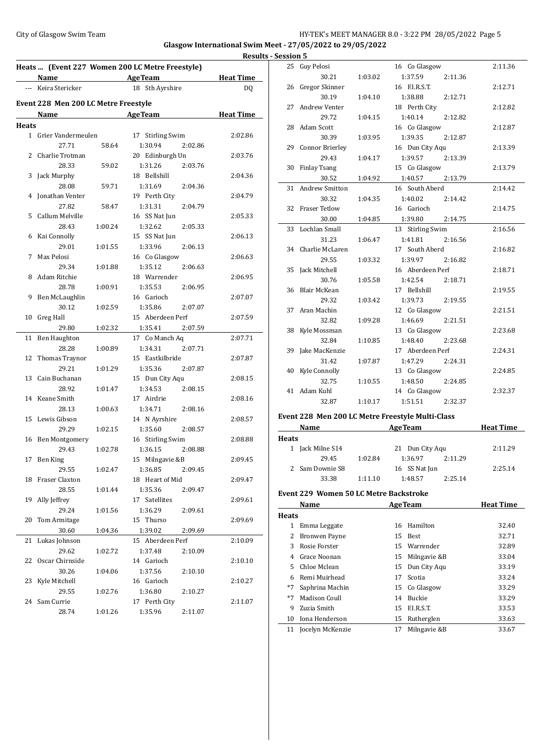#### City of Glasgow Swim Team HY-TEK's MEET MANAGER 8.0 - 3:22 PM 28/05/2022 Page 5 **Glasgow International Swim Meet - 27/05/2022 to 29/05/2022**

**Heats ... (Event 227 Women 200 LC Metre Freestyle) Name Age Team Heat Time** --- Keira Stericker 18 Sth Ayrshire DQ **Event 228 Men 200 LC Metre Freestyle Name Age Team Heat Time Heats** 1 Grier Vandermeulen 17 Stirling Swim 2:02.86 27.71 58.64 1:30.94 2:02.86 2 Charlie Trotman 20 Edinburgh Un 2:03.76 28.33 59.02 1:31.26 2:03.76 3 Jack Murphy 18 Bellshill 2:04.36 28.08 59.71 1:31.69 2:04.36 4 Jonathan Venter 19 Perth City 2:04.79 27.82 58.47 1:31.31 2:04.79 5 Callum Melville 16 SS Nat Jun 2:05.33 28.43 1:00.24 1:32.62 2:05.33 6 Kai Connolly 15 SS Nat Jun 2:06.13 29.01 1:01.55 1:33.96 2:06.13 7 Max Pelosi 16 Co Glasgow 2:06.63 29.34 1:01.88 1:35.12 2:06.63 8 Adam Ritchie 18 Warrender 2:06.95 28.78 1:00.91 1:35.53 2:06.95 9 Ben McLaughlin 16 Garioch 2:07.07 30.12 1:02.59 1:35.86 2:07.07 10 Greg Hall 15 Aberdeen Perf 2:07.59 29.80 1:02.32 1:35.41 2:07.59 11 Ben Haughton 17 Co Manch Aq 2:07.71 28.28 1:00.89 1:34.31 2:07.71 12 Thomas Traynor 15 Eastkilbride 2:07.87 29.21 1:01.29 1:35.36 2:07.87 13 Cain Buchanan 15 Dun City Aqu 2:08.15 28.92 1:01.47 1:34.53 2:08.15 14 Keane Smith 17 Airdrie 2:08.16 28.13 1:00.63 1:34.71 2:08.16 15 Lewis Gibson 14 N Ayrshire 2:08.57 29.29 1:02.15 1:35.60 2:08.57 16 Ben Montgomery 16 Stirling Swim 2:08.88 29.43 1:02.78 1:36.15 2:08.88 17 Ben King 15 Milngavie &B 2:09.45 29.55 1:02.47 1:36.85 2:09.45 18 Fraser Claxton 18 Heart of Mid 2:09.47 28.55 1:01.44 1:35.36 2:09.47 19 Ally Jeffrey 17 Satellites 2:09.61 29.24 1:01.56 1:36.29 2:09.61 20 Tom Armitage 15 Thurso 2:09.69 30.60 1:04.36 1:39.02 2:09.69 21 Lukas Johnson 15 Aberdeen Perf 2:10.09 29.62 1:02.72 1:37.48 2:10.09 22 Oscar Chirnside 14 Garioch 2:10.10 30.26 1:04.06 1:37.56 2:10.10 23 Kyle Mitchell 16 Garioch 2:10.27 29.55 1:02.76 1:36.80 2:10.27 24 Sam Currie 17 Perth City 2:11.07 28.74 1:01.26 1:35.96 2:11.07

| <b>Results - Session 5</b> |                                                  |         |                  |         |                  |
|----------------------------|--------------------------------------------------|---------|------------------|---------|------------------|
|                            | 25 Guy Pelosi                                    |         | 16 Co Glasgow    |         | 2:11.36          |
|                            | 30.21                                            | 1:03.02 | 1:37.59          | 2:11.36 |                  |
|                            | 26 Gregor Skinner                                |         | 16 F.I.R.S.T.    |         | 2:12.71          |
|                            | 30.19                                            | 1:04.10 | 1:38.88          | 2:12.71 |                  |
|                            | 27 Andrew Venter                                 |         | 18 Perth City    |         | 2:12.82          |
|                            | 29.72                                            | 1:04.15 | 1:40.14          | 2:12.82 |                  |
|                            | 28 Adam Scott                                    |         | 16 Co Glasgow    |         | 2:12.87          |
|                            | 30.39                                            | 1:03.95 | 1:39.35          | 2:12.87 |                  |
|                            | 29 Connor Brierley                               |         | 16 Dun City Aqu  |         | 2:13.39          |
|                            | 29.43                                            | 1:04.17 | 1:39.57          | 2:13.39 |                  |
|                            | 30 Finlay Tsang                                  |         | 15 Co Glasgow    |         | 2:13.79          |
|                            | 30.52                                            | 1:04.92 | 1:40.57          | 2:13.79 |                  |
|                            | 31 Andrew Smitton                                |         | 16 South Aberd   |         | 2:14.42          |
|                            | 30.32                                            | 1:04.35 | 1:40.02          | 2:14.42 |                  |
|                            | 32 Fraser Tetlow                                 |         | 16 Garioch       |         | 2:14.75          |
|                            | 30.00                                            | 1:04.85 | 1:39.80          | 2:14.75 |                  |
| 33                         | Lochlan Small                                    |         | 13 Stirling Swim |         | 2:16.56          |
|                            | 31.23                                            | 1:06.47 | 1:41.81          | 2:16.56 |                  |
|                            | 34 Charlie McLaren                               |         | 17 South Aberd   |         | 2:16.82          |
|                            | 29.55                                            | 1:03.32 | 1:39.97          | 2:16.82 |                  |
|                            | 35 Jack Mitchell                                 |         | 16 Aberdeen Perf |         | 2:18.71          |
|                            | 30.76                                            | 1:05.58 | 1:42.54          | 2:18.71 |                  |
|                            | 36 Blair McKean                                  |         | 17 Bellshill     |         | 2:19.55          |
|                            | 29.32                                            | 1:03.42 | 1:39.73          | 2:19.55 |                  |
|                            | 37 Aran Machin                                   |         | 12 Co Glasgow    |         | 2:21.51          |
|                            | 32.82                                            | 1:09.28 | 1:46.69          | 2:21.51 |                  |
|                            | 38 Kyle Mossman                                  |         | 13 Co Glasgow    |         | 2:23.68          |
|                            | 32.84                                            | 1:10.85 | 1:48.40          | 2:23.68 |                  |
|                            | 39 Jake MacKenzie                                |         | 17 Aberdeen Perf |         | 2:24.31          |
|                            | 31.42                                            | 1:07.87 | 1:47.29          | 2:24.31 |                  |
|                            | 40 Kyle Connolly                                 |         | 13 Co Glasgow    |         | 2:24.85          |
|                            | 32.75                                            | 1:10.55 | 1:48.50          | 2:24.85 |                  |
|                            | 41 Adam Kuhl                                     |         | 14 Co Glasgow    |         | 2:32.37          |
|                            | 32.87                                            | 1:10.17 | 1:51.51          | 2:32.37 |                  |
|                            | Event 228 Men 200 LC Metre Freestyle Multi-Class |         |                  |         |                  |
|                            | Name                                             |         | AgeTeam          |         | <b>Heat Time</b> |
| <b>Heats</b>               |                                                  |         |                  |         |                  |
|                            | 1 Jack Milne S14                                 |         | 21 Dun City Aqu  |         | 2:11.29          |

## **Event 229 Women 50 LC Metre Backstroke**

|       | Name                 |     | <b>AgeTeam</b>   | <b>Heat Time</b> |
|-------|----------------------|-----|------------------|------------------|
| Heats |                      |     |                  |                  |
| 1     | Emma Leggate         |     | 16 Hamilton      | 32.40            |
| 2     | <b>Bronwen Payne</b> |     | 15 Best          | 32.71            |
| 3     | Rosie Forster        |     | 15 Warrender     | 32.89            |
| 4     | Grace Noonan         |     | 15 Milngavie & B | 33.04            |
| 5.    | Chloe Mclean         |     | 15 Dun City Aqu  | 33.19            |
| 6     | Remi Muirhead        | 17  | Scotia           | 33.24            |
| $*7$  | Saphrina Machin      |     | 15 Co Glasgow    | 33.29            |
| $*7$  | Madison Coull        | 14  | Buckie           | 33.29            |
| 9     | Zuzia Smith          | 15. | ELR.S.T.         | 33.53            |
| 10    | Iona Henderson       | 15  | Rutherglen       | 33.63            |
| 11    | Jocelyn McKenzie     | 17  | Milngavie &B     | 33.67            |
|       |                      |     |                  |                  |

29.45 1:02.84 1:36.97 2:11.29 2 Sam Downie S8 16 SS Nat Jun 2:25.14 33.38 1:11.10 1:48.57 2:25.14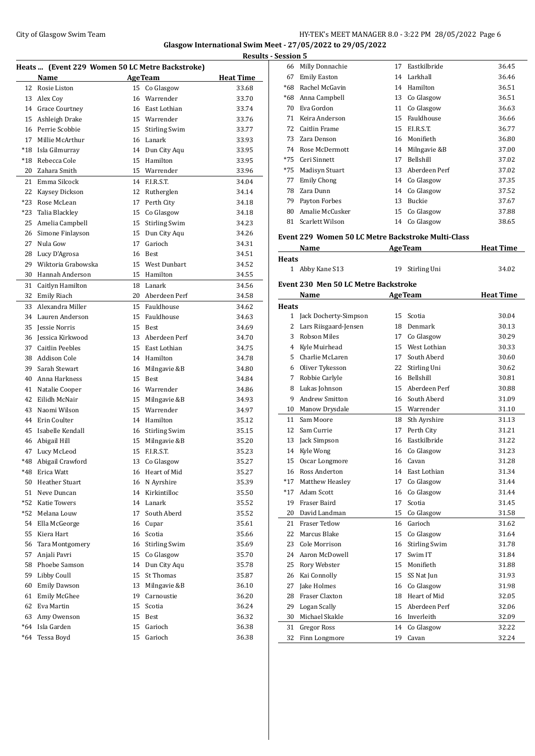#### City of Glasgow Swim Team HY-TEK's MEET MANAGER 8.0 - 3:22 PM 28/05/2022 Page 6 **Glasgow International Swim Meet - 27/05/2022 to 29/05/2022**

**Results - Session 5 Heats ... (Event 229 Women 50 LC Metre Backstroke) Name Age Team Heat Time** 12 Rosie Liston 15 Co Glasgow 33.68 13 Alex Coy 16 Warrender 33.70 Grace Courtney 16 East Lothian 33.74 Ashleigh Drake 15 Warrender 33.76 Perrie Scobbie 15 Stirling Swim 33.77 Millie McArthur 16 Lanark 33.93 \*18 Isla Gilmurray 14 Dun City Aqu 33.95 \*18 Rebecca Cole 15 Hamilton 33.95 Zahara Smith 15 Warrender 33.96 Emma Silcock 14 F.I.R.S.T. 34.04 Kaysey Dickson 12 Rutherglen 34.14 \*23 Rose McLean 17 Perth City 34.18 \*23 Talia Blackley 15 Co Glasgow 34.18 Amelia Campbell 15 Stirling Swim 34.23 Simone Finlayson 15 Dun City Aqu 34.26 Nula Gow 17 Garioch 34.31 28 Lucy D'Agrosa 16 Best 34.51 Wiktoria Grabowska 15 West Dunbart 34.52 Hannah Anderson 15 Hamilton 34.55 Caitlyn Hamilton 18 Lanark 34.56 Emily Riach 20 Aberdeen Perf 34.58 Alexandra Miller 15 Fauldhouse 34.62 Lauren Anderson 15 Fauldhouse 34.63 Jessie Norris 15 Best 34.69 Jessica Kirkwood 13 Aberdeen Perf 34.70 Caitlin Peebles 15 East Lothian 34.75 Addison Cole 14 Hamilton 34.78 Sarah Stewart 16 Milngavie &B 34.80 Anna Harkness 15 Best 34.84 Natalie Cooper 16 Warrender 34.86 Eilidh McNair 15 Milngavie &B 34.93 Naomi Wilson 15 Warrender 34.97 Erin Coulter 14 Hamilton 35.12 Isabelle Kendall 16 Stirling Swim 35.15 Abigail Hill 15 Milngavie &B 35.20 Lucy McLeod 15 F.I.R.S.T. 35.23 \*48 Abigail Crawford 13 Co Glasgow 35.27 \*48 Erica Watt 16 Heart of Mid 35.27 Heather Stuart 16 N Ayrshire 35.39 Neve Duncan 14 Kirkintilloc 35.50 \*52 Katie Towers 14 Lanark 35.52 \*52 Melana Louw 17 South Aberd 35.52 Ella McGeorge 16 Cupar 35.61 Kiera Hart 16 Scotia 35.66 Tara Montgomery 16 Stirling Swim 35.69 Anjali Pavri 15 Co Glasgow 35.70 Phoebe Samson 14 Dun City Aqu 35.78 Libby Coull 15 St Thomas 35.87 Emily Dawson 13 Milngavie &B 36.10 Emily McGhee 19 Carnoustie 36.20 Eva Martin 15 Scotia 36.24 Amy Owenson 15 Best 36.32 \*64 Isla Garden 15 Garioch 36.38 \*64 Tessa Boyd 15 Garioch 36.38

| 66           | Milly Donnachie                                    | 17       | Eastkilbride            | 36.45            |
|--------------|----------------------------------------------------|----------|-------------------------|------------------|
|              | 67 Emily Easton                                    |          | 14 Larkhall             | 36.46            |
| *68          | Rachel McGavin                                     |          | 14 Hamilton             | 36.51            |
| *68          | Anna Campbell                                      |          | 13 Co Glasgow           | 36.51            |
| 70           | Eva Gordon                                         |          | 11 Co Glasgow           | 36.63            |
| 71           | Keira Anderson                                     |          | 15 Fauldhouse           | 36.66            |
| 72           | Caitlin Frame                                      |          | 15 F.I.R.S.T.           | 36.77            |
| 73           | Zara Denson                                        |          | 16 Monifieth            | 36.80            |
|              | 74 Rose McDermott                                  |          | 14 Milngavie &B         | 37.00            |
| $*75$        | Ceri Sinnett                                       | 17       | Bellshill               | 37.02            |
| *75          | Madisyn Stuart                                     |          | 13 Aberdeen Perf        | 37.02            |
| 77           | <b>Emily Chong</b>                                 |          | 14 Co Glasgow           | 37.35            |
|              | 78 Zara Dunn                                       |          | 14 Co Glasgow           | 37.52            |
|              | 79 Payton Forbes                                   |          | 13 Buckie               | 37.67            |
|              | 80 Amalie McCusker                                 |          | 15 Co Glasgow           | 37.88            |
|              | 81 Scarlett Wilson                                 |          | 14 Co Glasgow           | 38.65            |
|              |                                                    |          |                         |                  |
|              | Event 229 Women 50 LC Metre Backstroke Multi-Class |          |                         |                  |
|              | Name                                               |          | <b>AgeTeam</b>          | <b>Heat Time</b> |
| <b>Heats</b> |                                                    |          |                         |                  |
|              | 1 Abby Kane S13                                    | 19       | Stirling Uni            | 34.02            |
|              | <b>Event 230 Men 50 LC Metre Backstroke</b>        |          |                         |                  |
|              | Name                                               |          | <b>AgeTeam</b>          | <b>Heat Time</b> |
| <b>Heats</b> |                                                    |          |                         |                  |
|              | 1 Jack Docherty-Simpson                            |          | 15 Scotia               | 30.04            |
|              | 2 Lars Riisgaard-Jensen                            |          | 18 Denmark              | 30.13            |
|              | 3 Robson Miles                                     |          | 17 Co Glasgow           | 30.29            |
|              | 4 Kyle Muirhead                                    |          | 15 West Lothian         | 30.33            |
|              | 5 Charlie McLaren                                  |          | 17 South Aberd          | 30.60            |
|              | 6 Oliver Tykesson                                  |          | 22 Stirling Uni         | 30.62            |
|              | 7 Robbie Carlyle                                   |          | 16 Bellshill            | 30.81            |
|              | 8 Lukas Johnson                                    |          | 15 Aberdeen Perf        | 30.88            |
| 9            | <b>Andrew Smitton</b>                              |          | 16 South Aberd          | 31.09            |
| 10           | Manow Drysdale                                     |          | 15 Warrender            | 31.10            |
| 11           | Sam Moore                                          |          | 18 Sth Ayrshire         | 31.13            |
| 12           | Sam Currie                                         |          | 17 Perth City           | 31.21            |
| 13           | Jack Simpson                                       |          | 16 Eastkilbride         | 31.22            |
| 14           | Kyle Wong                                          |          | 16 Co Glasgow           | 31.23            |
| 15           | Oscar Longmore                                     |          | 16 Cavan                | 31.28            |
| 16           | Ross Anderton                                      | 14       | East Lothian            | 31.34            |
| $*17$        | Matthew Heasley                                    | 17       | Co Glasgow              | 31.44            |
| $*17$        | Adam Scott                                         | 16       | Co Glasgow              | 31.44            |
| 19           | Fraser Baird                                       | 17       | Scotia                  | 31.45            |
| 20           | David Landman                                      | 15       | Co Glasgow              | 31.58            |
| 21           | <b>Fraser Tetlow</b>                               | 16       | Garioch                 | 31.62            |
| 22           | Marcus Blake<br>Cole Morrison                      | 15       | Co Glasgow              | 31.64            |
| 23           |                                                    | 16       | <b>Stirling Swim</b>    | 31.78            |
| 24           | Aaron McDowell<br>Rory Webster                     | 17       | Swim IT                 | 31.84            |
| 25<br>26     | Kai Connolly                                       | 15<br>15 | Monifieth<br>SS Nat Jun | 31.88<br>31.93   |
| 27           | Jake Holmes                                        | 16       | Co Glasgow              | 31.98            |
| 28           | Fraser Claxton                                     | 18       | Heart of Mid            | 32.05            |
| 29           | Logan Scally                                       | 15       | Aberdeen Perf           | 32.06            |
| 30           | Michael Skakle                                     | 16       | Inverleith              | 32.09            |
| 31           | Gregor Ross                                        | 14       | Co Glasgow              | 32.22            |
| 32           | Finn Longmore                                      | 19       | Cavan                   | 32.24            |
|              |                                                    |          |                         |                  |